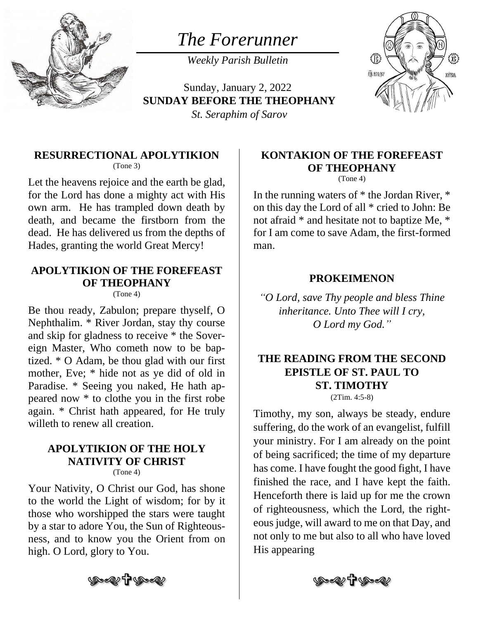

*The Forerunner*

*Weekly Parish Bulletin*

Sunday, January 2, 2022 **SUNDAY BEFORE THE THEOPHANY** *St. Seraphim of Sarov*



### **RESURRECTIONAL APOLYTIKION**

(Tone 3)

Let the heavens rejoice and the earth be glad, for the Lord has done a mighty act with His own arm. He has trampled down death by death, and became the firstborn from the dead. He has delivered us from the depths of Hades, granting the world Great Mercy!

## **APOLYTIKION OF THE FOREFEAST OF THEOPHANY**

(Tone 4)

Be thou ready, Zabulon; prepare thyself, O Nephthalim. \* River Jordan, stay thy course and skip for gladness to receive \* the Sovereign Master, Who cometh now to be baptized. \* O Adam, be thou glad with our first mother, Eve; \* hide not as ye did of old in Paradise. \* Seeing you naked, He hath appeared now \* to clothe you in the first robe again. \* Christ hath appeared, for He truly willeth to renew all creation.

#### **APOLYTIKION OF THE HOLY NATIVITY OF CHRIST**  $(Tone 4)$

Your Nativity, O Christ our God, has shone to the world the Light of wisdom; for by it those who worshipped the stars were taught by a star to adore You, the Sun of Righteousness, and to know you the Orient from on high. O Lord, glory to You.

## **KONTAKION OF THE FOREFEAST OF THEOPHANY**

(Tone 4)

In the running waters of \* the Jordan River, \* on this day the Lord of all \* cried to John: Be not afraid \* and hesitate not to baptize Me, \* for I am come to save Adam, the first-formed man.

### **PROKEIMENON**

*"O Lord, save Thy people and bless Thine inheritance. Unto Thee will I cry, O Lord my God."*

#### **THE READING FROM THE SECOND EPISTLE OF ST. PAUL TO ST. TIMOTHY** (2Tim. 4:5-8)

Timothy, my son, always be steady, endure suffering, do the work of an evangelist, fulfill your ministry. For I am already on the point of being sacrificed; the time of my departure has come. I have fought the good fight, I have finished the race, and I have kept the faith. Henceforth there is laid up for me the crown of righteousness, which the Lord, the righteous judge, will award to me on that Day, and not only to me but also to all who have loved His appearing



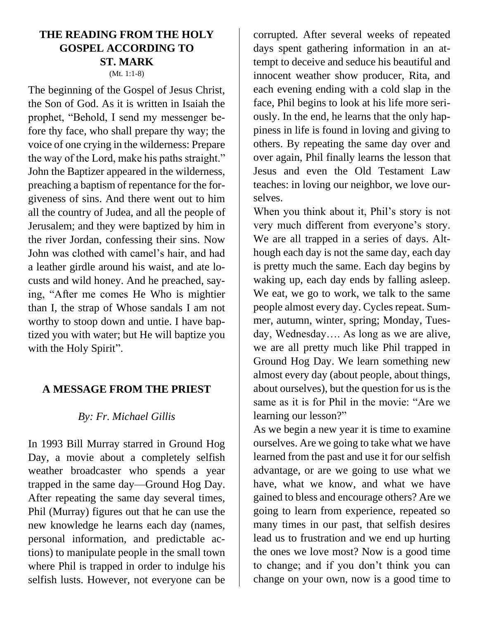#### **THE READING FROM THE HOLY GOSPEL ACCORDING TO ST. MARK** (Mt. 1:1-8)

The beginning of the Gospel of Jesus Christ, the Son of God. As it is written in Isaiah the prophet, "Behold, I send my messenger before thy face, who shall prepare thy way; the voice of one crying in the wilderness: Prepare the way of the Lord, make his paths straight." John the Baptizer appeared in the wilderness, preaching a baptism of repentance for the forgiveness of sins. And there went out to him all the country of Judea, and all the people of Jerusalem; and they were baptized by him in the river Jordan, confessing their sins. Now John was clothed with camel's hair, and had a leather girdle around his waist, and ate locusts and wild honey. And he preached, saying, "After me comes He Who is mightier than I, the strap of Whose sandals I am not worthy to stoop down and untie. I have baptized you with water; but He will baptize you with the Holy Spirit".

#### **A MESSAGE FROM THE PRIEST**

### *By: Fr. Michael Gillis*

In 1993 Bill Murray starred in Ground Hog Day, a movie about a completely selfish weather broadcaster who spends a year trapped in the same day—Ground Hog Day. After repeating the same day several times, Phil (Murray) figures out that he can use the new knowledge he learns each day (names, personal information, and predictable actions) to manipulate people in the small town where Phil is trapped in order to indulge his selfish lusts. However, not everyone can be corrupted. After several weeks of repeated days spent gathering information in an attempt to deceive and seduce his beautiful and innocent weather show producer, Rita, and each evening ending with a cold slap in the face, Phil begins to look at his life more seriously. In the end, he learns that the only happiness in life is found in loving and giving to others. By repeating the same day over and over again, Phil finally learns the lesson that Jesus and even the Old Testament Law teaches: in loving our neighbor, we love ourselves.

When you think about it, Phil's story is not very much different from everyone's story. We are all trapped in a series of days. Although each day is not the same day, each day is pretty much the same. Each day begins by waking up, each day ends by falling asleep. We eat, we go to work, we talk to the same people almost every day. Cycles repeat. Summer, autumn, winter, spring; Monday, Tuesday, Wednesday…. As long as we are alive, we are all pretty much like Phil trapped in Ground Hog Day. We learn something new almost every day (about people, about things, about ourselves), but the question for us is the same as it is for Phil in the movie: "Are we learning our lesson?"

As we begin a new year it is time to examine ourselves. Are we going to take what we have learned from the past and use it for our selfish advantage, or are we going to use what we have, what we know, and what we have gained to bless and encourage others? Are we going to learn from experience, repeated so many times in our past, that selfish desires lead us to frustration and we end up hurting the ones we love most? Now is a good time to change; and if you don't think you can change on your own, now is a good time to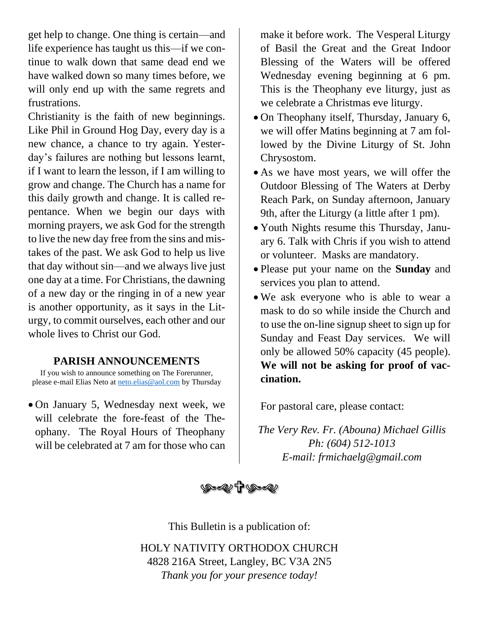get help to change. One thing is certain—and life experience has taught us this—if we continue to walk down that same dead end we have walked down so many times before, we will only end up with the same regrets and frustrations.

Christianity is the faith of new beginnings. Like Phil in Ground Hog Day, every day is a new chance, a chance to try again. Yesterday's failures are nothing but lessons learnt, if I want to learn the lesson, if I am willing to grow and change. The Church has a name for this daily growth and change. It is called repentance. When we begin our days with morning prayers, we ask God for the strength to live the new day free from the sins and mistakes of the past. We ask God to help us live that day without sin—and we always live just one day at a time. For Christians, the dawning of a new day or the ringing in of a new year is another opportunity, as it says in the Liturgy, to commit ourselves, each other and our whole lives to Christ our God.

#### **PARISH ANNOUNCEMENTS**

If you wish to announce something on The Forerunner, please e-mail Elias Neto at [neto.elias@aol.com](mailto:neto.elias@aol.com) by Thursday

• On January 5, Wednesday next week, we will celebrate the fore-feast of the Theophany. The Royal Hours of Theophany will be celebrated at 7 am for those who can make it before work. The Vesperal Liturgy of Basil the Great and the Great Indoor Blessing of the Waters will be offered Wednesday evening beginning at 6 pm. This is the Theophany eve liturgy, just as we celebrate a Christmas eve liturgy.

- On Theophany itself, Thursday, January 6, we will offer Matins beginning at 7 am followed by the Divine Liturgy of St. John Chrysostom.
- As we have most years, we will offer the Outdoor Blessing of The Waters at Derby Reach Park, on Sunday afternoon, January 9th, after the Liturgy (a little after 1 pm).
- Youth Nights resume this Thursday, January 6. Talk with Chris if you wish to attend or volunteer. Masks are mandatory.
- Please put your name on the **Sunday** and services you plan to attend.
- We ask everyone who is able to wear a mask to do so while inside the Church and to use the on-line signup sheet to sign up for Sunday and Feast Day services. We will only be allowed 50% capacity (45 people). **We will not be asking for proof of vaccination.**

For pastoral care, please contact:

*The Very Rev. Fr. (Abouna) Michael Gillis Ph: (604) 512-1013 E-mail: frmichaelg@gmail.com*



This Bulletin is a publication of:

HOLY NATIVITY ORTHODOX CHURCH 4828 216A Street, Langley, BC V3A 2N5 *Thank you for your presence today!*